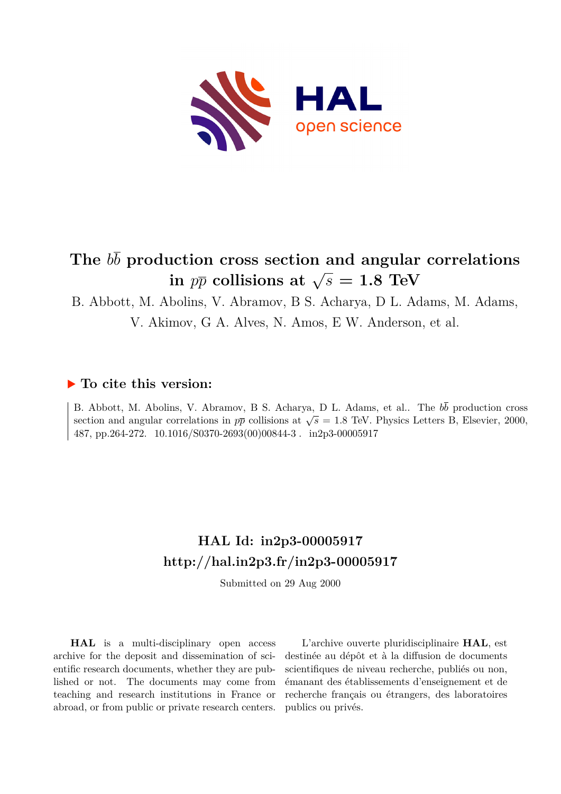

## **The** *bb* **production cross section and angular correlations**  $\sin p\overline{p}$  collisions at  $\sqrt{s} = 1.8$  TeV

B. Abbott, M. Abolins, V. Abramov, B S. Acharya, D L. Adams, M. Adams,

V. Akimov, G A. Alves, N. Amos, E W. Anderson, et al.

## **To cite this version:**

B. Abbott, M. Abolins, V. Abramov, B S. Acharya, D L. Adams, et al.. The  $b\bar{b}$  production cross section and angular correlations in  $p\bar{p}$  collisions at  $\sqrt{s} = 1.8$  TeV. Physics Letters B, Elsevier, 2000, 487, pp.264-272.  $10.1016/S0370-2693(00)00844-3$ . in2p3-00005917

## **HAL Id: in2p3-00005917 <http://hal.in2p3.fr/in2p3-00005917>**

Submitted on 29 Aug 2000

**HAL** is a multi-disciplinary open access archive for the deposit and dissemination of scientific research documents, whether they are published or not. The documents may come from teaching and research institutions in France or abroad, or from public or private research centers.

L'archive ouverte pluridisciplinaire **HAL**, est destinée au dépôt et à la diffusion de documents scientifiques de niveau recherche, publiés ou non, émanant des établissements d'enseignement et de recherche français ou étrangers, des laboratoires publics ou privés.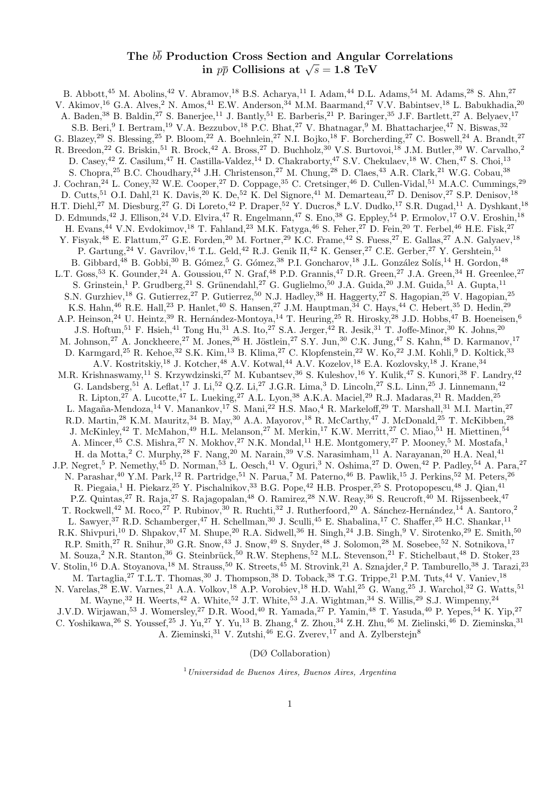## The  $b\overline{b}$  Production Cross Section and Angular Correlations *in*  $p\overline{p}$  Collisions at  $\sqrt{s} = 1.8$  TeV

B. Abbott,<sup>45</sup> M. Abolins,<sup>42</sup> V. Abramov,<sup>18</sup> B.S. Acharya,<sup>11</sup> I. Adam,<sup>44</sup> D.L. Adams,<sup>54</sup> M. Adams,<sup>28</sup> S. Ahn,<sup>27</sup> V. Akimov,<sup>16</sup> G.A. Alves,<sup>2</sup> N. Amos,<sup>41</sup> E.W. Anderson,<sup>34</sup> M.M. Baarmand,<sup>47</sup> V.V. Babintsev,<sup>18</sup> L. Babukhadia,<sup>20</sup> A. Baden,<sup>38</sup> B. Baldin,<sup>27</sup> S. Banerjee,<sup>11</sup> J. Bantly,<sup>51</sup> E. Barberis,<sup>21</sup> P. Baringer,<sup>35</sup> J.F. Bartlett,<sup>27</sup> A. Belyaev,<sup>17</sup> S.B. Beri,<sup>9</sup> I. Bertram,<sup>19</sup> V.A. Bezzubov,<sup>18</sup> P.C. Bhat,<sup>27</sup> V. Bhatnagar,<sup>9</sup> M. Bhattacharjee,<sup>47</sup> N. Biswas,<sup>32</sup> G. Blazey,<sup>29</sup> S. Blessing,<sup>25</sup> P. Bloom,<sup>22</sup> A. Boehnlein,<sup>27</sup> N.I. Bojko,<sup>18</sup> F. Borcherding,<sup>27</sup> C. Boswell,<sup>24</sup> A. Brandt,<sup>27</sup> R. Breedon,<sup>22</sup> G. Briskin,<sup>51</sup> R. Brock,<sup>42</sup> A. Bross,<sup>27</sup> D. Buchholz,<sup>30</sup> V.S. Burtovoi,<sup>18</sup> J.M. Butler,<sup>39</sup> W. Carvalho,<sup>2</sup> D. Casey,<sup>42</sup> Z. Casilum,<sup>47</sup> H. Castilla-Valdez,<sup>14</sup> D. Chakraborty,<sup>47</sup> S.V. Chekulaev,<sup>18</sup> W. Chen,<sup>47</sup> S. Choi,<sup>13</sup> S. Chopra,<sup>25</sup> B.C. Choudhary,<sup>24</sup> J.H. Christenson,<sup>27</sup> M. Chung,<sup>28</sup> D. Claes,<sup>43</sup> A.R. Clark,<sup>21</sup> W.G. Cobau,<sup>38</sup> J. Cochran,<sup>24</sup> L. Coney,<sup>32</sup> W.E. Cooper,<sup>27</sup> D. Coppage,<sup>35</sup> C. Cretsinger,<sup>46</sup> D. Cullen-Vidal,<sup>51</sup> M.A.C. Cummings,<sup>29</sup> D. Cutts,<sup>51</sup> O.I. Dahl,<sup>21</sup> K. Davis,<sup>20</sup> K. De,<sup>52</sup> K. Del Signore,<sup>41</sup> M. Demarteau,<sup>27</sup> D. Denisov,<sup>27</sup> S.P. Denisov,<sup>18</sup> H.T. Diehl,<sup>27</sup> M. Diesburg,<sup>27</sup> G. Di Loreto,<sup>42</sup> P. Draper,<sup>52</sup> Y. Ducros,<sup>8</sup> L.V. Dudko,<sup>17</sup> S.R. Dugad,<sup>11</sup> A. Dyshkant,<sup>18</sup> D. Edmunds,<sup>42</sup> J. Ellison,<sup>24</sup> V.D. Elvira,<sup>47</sup> R. Engelmann,<sup>47</sup> S. Eno,<sup>38</sup> G. Eppley,<sup>54</sup> P. Ermolov,<sup>17</sup> O.V. Eroshin,<sup>18</sup> H. Evans,<sup>44</sup> V.N. Evdokimov,<sup>18</sup> T. Fahland,<sup>23</sup> M.K. Fatyga,<sup>46</sup> S. Feher,<sup>27</sup> D. Fein,<sup>20</sup> T. Ferbel,<sup>46</sup> H.E. Fisk,<sup>27</sup> Y. Fisyak,<sup>48</sup> E. Flattum,<sup>27</sup> G.E. Forden,<sup>20</sup> M. Fortner,<sup>29</sup> K.C. Frame,<sup>42</sup> S. Fuess,<sup>27</sup> E. Gallas,<sup>27</sup> A.N. Galyaev,<sup>18</sup> P. Gartung,<sup>24</sup> V. Gavrilov,<sup>16</sup> T.L. Geld,<sup>42</sup> R.J. Genik II,<sup>42</sup> K. Genser,<sup>27</sup> C.E. Gerber,<sup>27</sup> Y. Gershtein,<sup>51</sup> B. Gibbard,<sup>48</sup> B. Gobbi,<sup>30</sup> B. Gómez,<sup>5</sup> G. Gómez,<sup>38</sup> P.I. Goncharov,<sup>18</sup> J.L. González Solís,<sup>14</sup> H. Gordon,<sup>48</sup> L.T. Goss,<sup>53</sup> K. Gounder,<sup>24</sup> A. Goussiou,<sup>47</sup> N. Graf,<sup>48</sup> P.D. Grannis,<sup>47</sup> D.R. Green,<sup>27</sup> J.A. Green,<sup>34</sup> H. Greenlee,<sup>27</sup> S. Grinstein,<sup>1</sup> P. Grudberg,<sup>21</sup> S. Grünendahl,<sup>27</sup> G. Guglielmo,<sup>50</sup> J.A. Guida,<sup>20</sup> J.M. Guida,<sup>51</sup> A. Gupta,<sup>11</sup> S.N. Gurzhiev,<sup>18</sup> G. Gutierrez,<sup>27</sup> P. Gutierrez,<sup>50</sup> N.J. Hadley,<sup>38</sup> H. Haggerty,<sup>27</sup> S. Hagopian,<sup>25</sup> V. Hagopian,<sup>25</sup> K.S. Hahn,<sup>46</sup> R.E. Hall,<sup>23</sup> P. Hanlet,<sup>40</sup> S. Hansen,<sup>27</sup> J.M. Hauptman,<sup>34</sup> C. Hays,<sup>44</sup> C. Hebert,<sup>35</sup> D. Hedin,<sup>29</sup> A.P. Heinson,<sup>24</sup> U. Heintz,<sup>39</sup> R. Hernández-Montoya,<sup>14</sup> T. Heuring,<sup>25</sup> R. Hirosky,<sup>28</sup> J.D. Hobbs,<sup>47</sup> B. Hoeneisen,<sup>6</sup> J.S. Hoftun,<sup>51</sup> F. Hsieh,<sup>41</sup> Tong Hu,<sup>31</sup> A.S. Ito,<sup>27</sup> S.A. Jerger,<sup>42</sup> R. Jesik,<sup>31</sup> T. Joffe-Minor,<sup>30</sup> K. Johns,<sup>20</sup> M. Johnson,<sup>27</sup> A. Jonckheere,<sup>27</sup> M. Jones,<sup>26</sup> H. Jöstlein,<sup>27</sup> S.Y. Jun,<sup>30</sup> C.K. Jung,<sup>47</sup> S. Kahn,<sup>48</sup> D. Karmanov,<sup>17</sup> D. Karmgard,<sup>25</sup> R. Kehoe,<sup>32</sup> S.K. Kim,<sup>13</sup> B. Klima,<sup>27</sup> C. Klopfenstein,<sup>22</sup> W. Ko,<sup>22</sup> J.M. Kohli,<sup>9</sup> D. Koltick,<sup>33</sup> A.V. Kostritskiy,<sup>18</sup> J. Kotcher,<sup>48</sup> A.V. Kotwal,<sup>44</sup> A.V. Kozelov,<sup>18</sup> E.A. Kozlovsky,<sup>18</sup> J. Krane,<sup>34</sup> M.R. Krishnaswamy,<sup>11</sup> S. Krzywdzinski,<sup>27</sup> M. Kubantsev,<sup>36</sup> S. Kuleshov,<sup>16</sup> Y. Kulik,<sup>47</sup> S. Kunori,<sup>38</sup> F. Landry,<sup>42</sup> G. Landsberg,<sup>51</sup> A. Leflat,<sup>17</sup> J. Li,<sup>52</sup> Q.Z. Li,<sup>27</sup> J.G.R. Lima,<sup>3</sup> D. Lincoln,<sup>27</sup> S.L. Linn,<sup>25</sup> J. Linnemann,<sup>42</sup> R. Lipton,<sup>27</sup> A. Lucotte,<sup>47</sup> L. Lueking,<sup>27</sup> A.L. Lyon,<sup>38</sup> A.K.A. Maciel,<sup>29</sup> R.J. Madaras,<sup>21</sup> R. Madden,<sup>25</sup> L. Magaña-Mendoza,<sup>14</sup> V. Manankov,<sup>17</sup> S. Mani,<sup>22</sup> H.S. Mao,<sup>4</sup> R. Markeloff,<sup>29</sup> T. Marshall,<sup>31</sup> M.I. Martin,<sup>27</sup> R.D. Martin,<sup>28</sup> K.M. Mauritz,<sup>34</sup> B. May,<sup>30</sup> A.A. Mayorov,<sup>18</sup> R. McCarthy,<sup>47</sup> J. McDonald,<sup>25</sup> T. McKibben,<sup>28</sup> J. McKinley,<sup>42</sup> T. McMahon,<sup>49</sup> H.L. Melanson,<sup>27</sup> M. Merkin,<sup>17</sup> K.W. Merritt,<sup>27</sup> C. Miao,<sup>51</sup> H. Miettinen,<sup>54</sup> A. Mincer,  $45$  C.S. Mishra,  $27$  N. Mokhov,  $27$  N.K. Mondal,  $11$  H.E. Montgomery,  $27$  P. Mooney,  $5$  M. Mostafa,  $1$ H. da Motta,<sup>2</sup> C. Murphy,<sup>28</sup> F. Nang,<sup>20</sup> M. Narain,<sup>39</sup> V.S. Narasimham,<sup>11</sup> A. Narayanan,<sup>20</sup> H.A. Neal,<sup>41</sup> J.P. Negret,<sup>5</sup> P. Nemethy,<sup>45</sup> D. Norman,<sup>53</sup> L. Oesch,<sup>41</sup> V. Oguri,<sup>3</sup> N. Oshima,<sup>27</sup> D. Owen,<sup>42</sup> P. Padley,<sup>54</sup> A. Para,<sup>27</sup> N. Parashar,<sup>40</sup> Y.M. Park,<sup>12</sup> R. Partridge,<sup>51</sup> N. Parua,<sup>7</sup> M. Paterno,<sup>46</sup> B. Pawlik,<sup>15</sup> J. Perkins,<sup>52</sup> M. Peters,<sup>26</sup> R. Piegaia,<sup>1</sup> H. Piekarz,<sup>25</sup> Y. Pischalnikov,<sup>33</sup> B.G. Pope,<sup>42</sup> H.B. Prosper,<sup>25</sup> S. Protopopescu,<sup>48</sup> J. Qian,<sup>41</sup> P.Z. Quintas,<sup>27</sup> R. Raja,<sup>27</sup> S. Rajagopalan,<sup>48</sup> O. Ramirez,<sup>28</sup> N.W. Reay,<sup>36</sup> S. Reucroft,<sup>40</sup> M. Rijssenbeek,<sup>47</sup> T. Rockwell,<sup>42</sup> M. Roco,<sup>27</sup> P. Rubinov,<sup>30</sup> R. Ruchti,<sup>32</sup> J. Rutherfoord,<sup>20</sup> A. Sánchez-Hernández,<sup>14</sup> A. Santoro,<sup>2</sup> L. Sawyer,<sup>37</sup> R.D. Schamberger,<sup>47</sup> H. Schellman,<sup>30</sup> J. Sculli,<sup>45</sup> E. Shabalina,<sup>17</sup> C. Shaffer,<sup>25</sup> H.C. Shankar,<sup>11</sup> R.K. Shivpuri,<sup>10</sup> D. Shpakov,<sup>47</sup> M. Shupe,<sup>20</sup> R.A. Sidwell,<sup>36</sup> H. Singh,<sup>24</sup> J.B. Singh,<sup>9</sup> V. Sirotenko,<sup>29</sup> E. Smith,<sup>50</sup> R.P. Smith,<sup>27</sup> R. Snihur,<sup>30</sup> G.R. Snow,<sup>43</sup> J. Snow,<sup>49</sup> S. Snyder,<sup>48</sup> J. Solomon,<sup>28</sup> M. Sosebee,<sup>52</sup> N. Sotnikova,<sup>17</sup> M. Souza,<sup>2</sup> N.R. Stanton,<sup>36</sup> G. Steinbrück,<sup>50</sup> R.W. Stephens,<sup>52</sup> M.L. Stevenson,<sup>21</sup> F. Stichelbaut,<sup>48</sup> D. Stoker,<sup>23</sup> V. Stolin,<sup>16</sup> D.A. Stoyanova,<sup>18</sup> M. Strauss,<sup>50</sup> K. Streets,<sup>45</sup> M. Strovink,<sup>21</sup> A. Sznajder,<sup>2</sup> P. Tamburello,<sup>38</sup> J. Tarazi,<sup>23</sup> M. Tartaglia,<sup>27</sup> T.L.T. Thomas,<sup>30</sup> J. Thompson,<sup>38</sup> D. Toback,<sup>38</sup> T.G. Trippe,<sup>21</sup> P.M. Tuts,<sup>44</sup> V. Vaniev,<sup>18</sup> N. Varelas,<sup>28</sup> E.W. Varnes,<sup>21</sup> A.A. Volkov,<sup>18</sup> A.P. Vorobiev,<sup>18</sup> H.D. Wahl,<sup>25</sup> G. Wang,<sup>25</sup> J. Warchol,<sup>32</sup> G. Watts,<sup>51</sup> M. Wayne,<sup>32</sup> H. Weerts,<sup>42</sup> A. White,<sup>52</sup> J.T. White,<sup>53</sup> J.A. Wightman,<sup>34</sup> S. Willis,<sup>29</sup> S.J. Wimpenny,<sup>24</sup> J.V.D. Wirjawan,<sup>53</sup> J. Womersley,<sup>27</sup> D.R. Wood,<sup>40</sup> R. Yamada,<sup>27</sup> P. Yamin,<sup>48</sup> T. Yasuda,<sup>40</sup> P. Yepes,<sup>54</sup> K. Yip,<sup>27</sup> C. Yoshikawa,<sup>26</sup> S. Youssef,<sup>25</sup> J. Yu,<sup>27</sup> Y. Yu,<sup>13</sup> B. Zhang,<sup>4</sup> Z. Zhou,<sup>34</sup> Z.H. Zhu,<sup>46</sup> M. Zielinski,<sup>46</sup> D. Zieminska,<sup>31</sup> A. Zieminski,<sup>31</sup> V. Zutshi,<sup>46</sup> E.G. Zverev,<sup>17</sup> and A. Zylberstein<sup>8</sup>

(DØ Collaboration)

 $1$ Universidad de Buenos Aires, Buenos Aires, Argentina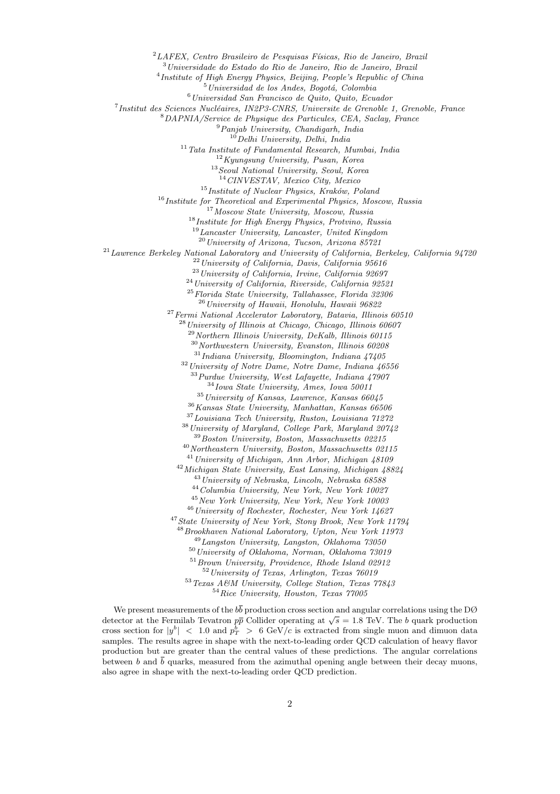$^{2}$ LAFEX, Centro Brasileiro de Pesquisas Físicas, Rio de Janeiro, Brazil

<sup>3</sup>Universidade do Estado do Rio de Janeiro, Rio de Janeiro, Brazil

<sup>4</sup> Institute of High Energy Physics, Beijing, People's Republic of China

 $5$ Universidad de los Andes, Bogotá, Colombia

 $6$ Universidad San Francisco de Quito, Quito, Ecuador

 $7$ Institut des Sciences Nucléaires, IN2P3-CNRS, Universite de Grenoble 1, Grenoble, France

<sup>8</sup>DAPNIA/Service de Physique des Particules, CEA, Saclay, France

<sup>9</sup>Panjab University, Chandigarh, India

 $10$ Delhi University, Delhi, India

 $11$ Tata Institute of Fundamental Research, Mumbai, India

 $12$ Kyungsung University, Pusan, Korea

<sup>13</sup>Seoul National University, Seoul, Korea

 $14$  CINVESTAV, Mexico City, Mexico

 $15$ Institute of Nuclear Physics, Kraków, Poland

 $16$ Institute for Theoretical and Experimental Physics, Moscow, Russia

<sup>17</sup> Moscow State University, Moscow, Russia

<sup>18</sup>Institute for High Energy Physics, Protvino, Russia

 $^{19}$  Lancaster University, Lancaster, United Kingdom

 $\,{}^{20}\,$  University of Arizona, Tucson, Arizona 85721

 $^{21}$  Lawrence Berkeley National Laboratory and University of California, Berkeley, California 94720

 $22$ University of California, Davis, California 95616

 $^{23}$ University of California, Irvine, California 92697

 $^{24}$ University of California, Riverside, California 92521

<sup>25</sup>Florida State University, Tallahassee, Florida 32306

<sup>26</sup> University of Hawaii, Honolulu, Hawaii 96822

 $^{27}\,Fermi$  National Accelerator Laboratory, Batavia, Illinois 60510

<sup>28</sup> University of Illinois at Chicago, Chicago, Illinois 60607

 $^{29}$ Northern Illinois University, DeKalb, Illinois 60115

 $30$  Northwestern University, Evanston, Illinois 60208

 $\rm ^{31}$ Indiana University, Bloomington, Indiana 47405

 $32$  University of Notre Dame, Notre Dame, Indiana  $46556$ <sup>33</sup>Purdue University, West Lafayette, Indiana 47907

 $34$ Iowa State University, Ames, Iowa 50011

 $35$  University of Kansas, Lawrence, Kansas  $66045$ 

 $^{36}\,Kansas$  State University, Manhattan, Kansas 66506

<sup>37</sup>Louisiana Tech University, Ruston, Louisiana 71272

 $^{38}\,University$  of Maryland, College Park, Maryland 20742

<sup>39</sup>Boston University, Boston, Massachusetts 02215

 $^{40}\,North eastern\, University,\, Boston,\,Massachusetts\,\,02115$ 

<sup>41</sup> University of Michigan, Ann Arbor, Michigan 48109

<sup>42</sup>Michigan State University, East Lansing, Michigan 48824

<sup>43</sup>University of Nebraska, Lincoln, Nebraska 68588

<sup>44</sup>Columbia University, New York, New York 10027

<sup>45</sup>New York University, New York, New York 10003 <sup>46</sup>University of Rochester, Rochester, New York 14627

<sup>47</sup>State University of New York, Stony Brook, New York 11794

 $^{48}$ Brookhaven National Laboratory, Upton, New York 11973

<sup>49</sup>Langston University, Langston, Oklahoma 73050

 $50$ University of Oklahoma, Norman, Oklahoma  $73019$ 

<sup>51</sup>Brown University, Providence, Rhode Island 02912

<sup>52</sup>University of Texas, Arlington, Texas 76019

 $^{53}\,Texas$   $A\emph{\ensuremath{\mathcal{C}} M}$  University, College Station, Texas  $77843$ 

<sup>54</sup>Rice University, Houston, Texas 77005

We present measurements of the  $b\bar{b}$  production cross section and angular correlations using the DØ detector at the Fermilab Tevatron  $p\bar{p}$  Collider operating at  $\sqrt{s} = 1.8$  TeV. The b quark production cross section for  $|y^b|$  < 1.0 and  $p_T^b > 6 \text{ GeV}/c$  is extracted from single muon and dimuon data samples. The results agree in shape with the next-to-leading order QCD calculation of heavy flavor production but are greater than the central values of these predictions. The angular correlations between b and  $\overline{b}$  quarks, measured from the azimuthal opening angle between their decay muons, also agree in shape with the next-to-leading order QCD prediction.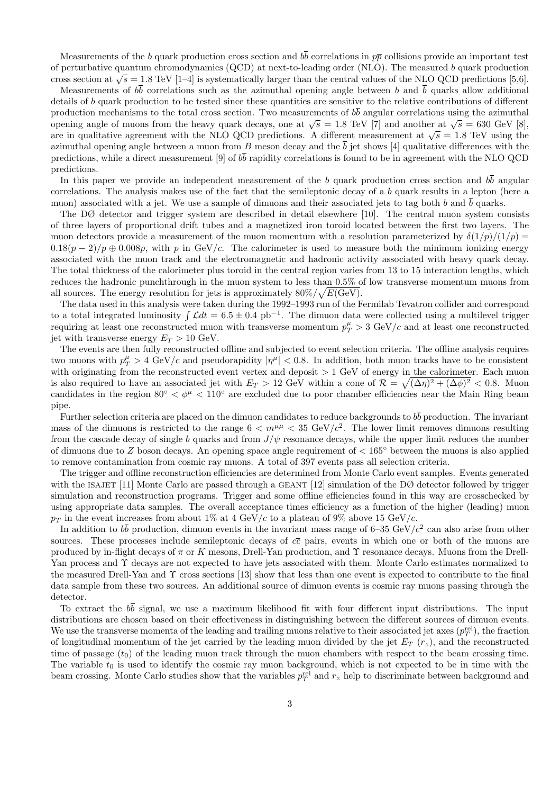Measurements of the b quark production cross section and  $b\overline{b}$  correlations in  $p\overline{p}$  collisions provide an important test of perturbative quantum chromodynamics (QCD) at next-to-leading order (NLO). The measured b quark production cross section at  $\sqrt{s} = 1.8$  TeV [1–4] is systematically larger than the central values of the NLO QCD predictions [5,6].

Measurements of  $b\bar{b}$  correlations such as the azimuthal opening angle between b and  $\bar{b}$  quarks allow additional details of b quark production to be tested since these quantities are sensitive to the relative contributions of different production mechanisms to the total cross section. Two measurements of  $b\bar{b}$  angular correlations using the azimuthal opening angle of muons from the heavy quark decays, one at  $\sqrt{s} = 1.8$  TeV [7] and another at  $\sqrt{s} = 630$  GeV [8], are in qualitative agreement with the NLO QCD predictions. A different measurement at  $\sqrt{s} = 1.8$  TeV using the azimuthal opening angle between a muon from B meson decay and the  $\overline{b}$  jet shows [4] qualitative differences with the predictions, while a direct measurement [9] of  $b\bar{b}$  rapidity correlations is found to be in agreement with the NLO QCD predictions.

In this paper we provide an independent measurement of the b quark production cross section and  $b\overline{b}$  angular correlations. The analysis makes use of the fact that the semileptonic decay of a b quark results in a lepton (here a muon) associated with a jet. We use a sample of dimuons and their associated jets to tag both b and  $\overline{b}$  quarks.

The DØ detector and trigger system are described in detail elsewhere [10]. The central muon system consists of three layers of proportional drift tubes and a magnetized iron toroid located between the first two layers. The muon detectors provide a measurement of the muon momentum with a resolution parameterized by  $\delta(1/p)/(1/p)$  =  $0.18(p-2)/p \oplus 0.008p$ , with p in GeV/c. The calorimeter is used to measure both the minimum ionizing energy associated with the muon track and the electromagnetic and hadronic activity associated with heavy quark decay. The total thickness of the calorimeter plus toroid in the central region varies from 13 to 15 interaction lengths, which reduces the hadronic punchthrough in the muon system to less than 0.5% of low transverse momentum muons from all sources. The energy resolution for jets is approximately  $80\%/\sqrt{E(\text{GeV})}$ .

The data used in this analysis were taken during the 1992–1993 run of the Fermilab Tevatron collider and correspond to a total integrated luminosity  $\int \mathcal{L}dt = 6.5 \pm 0.4$  pb<sup>-1</sup>. The dimuon data were collected using a multilevel trigger requiring at least one reconstructed muon with transverse momentum  $p_T^{\mu} > 3 \text{ GeV}/c$  and at least one reconstructed jet with transverse energy  $E_T > 10$  GeV.

The events are then fully reconstructed offline and subjected to event selection criteria. The offline analysis requires two muons with  $p_T^{\mu} > 4$  GeV/c and pseudorapidity  $|\eta^{\mu}| < 0.8$ . In addition, both muon tracks have to be consistent with originating from the reconstructed event vertex and deposit  $> 1$  GeV of energy in the calorimeter. Each muon is also required to have an associated jet with  $E_T > 12$  GeV within a cone of  $\mathcal{R} = \sqrt{(\Delta \eta)^2 + (\Delta \phi)^2} < 0.8$ . Muon candidates in the region  $80° < \phi^{\mu} < 110°$  are excluded due to poor chamber efficiencies near the Main Ring beam pipe.

Further selection criteria are placed on the dimuon candidates to reduce backgrounds to  $b\bar{b}$  production. The invariant mass of the dimuons is restricted to the range  $6 < m^{\mu\mu} < 35 \text{ GeV}/c^2$ . The lower limit removes dimuons resulting from the cascade decay of single b quarks and from  $J/\psi$  resonance decays, while the upper limit reduces the number of dimuons due to Z boson decays. An opening space angle requirement of  $< 165°$  between the muons is also applied to remove contamination from cosmic ray muons. A total of 397 events pass all selection criteria.

The trigger and offline reconstruction efficiencies are determined from Monte Carlo event samples. Events generated with the ISAJET [11] Monte Carlo are passed through a GEANT  $[12]$  simulation of the DØ detector followed by trigger simulation and reconstruction programs. Trigger and some offline efficiencies found in this way are crosschecked by using appropriate data samples. The overall acceptance times efficiency as a function of the higher (leading) muon  $p_T$  in the event increases from about 1% at 4 GeV/c to a plateau of 9% above 15 GeV/c.

In addition to  $b\bar{b}$  production, dimuon events in the invariant mass range of 6–35 GeV/ $c^2$  can also arise from other sources. These processes include semileptonic decays of  $c\bar{c}$  pairs, events in which one or both of the muons are produced by in-flight decays of  $\pi$  or K mesons, Drell-Yan production, and  $\Upsilon$  resonance decays. Muons from the Drell-Yan process and Υ decays are not expected to have jets associated with them. Monte Carlo estimates normalized to the measured Drell-Yan and Υ cross sections [13] show that less than one event is expected to contribute to the final data sample from these two sources. An additional source of dimuon events is cosmic ray muons passing through the detector.

To extract the bb signal, we use a maximum likelihood fit with four different input distributions. The input distributions are chosen based on their effectiveness in distinguishing between the different sources of dimuon events. We use the transverse momenta of the leading and trailing muons relative to their associated jet axes  $(p_T^{\text{rel}})$ , the fraction of longitudinal momentum of the jet carried by the leading muon divided by the jet  $E_T(r_z)$ , and the reconstructed time of passage  $(t_0)$  of the leading muon track through the muon chambers with respect to the beam crossing time. The variable  $t_0$  is used to identify the cosmic ray muon background, which is not expected to be in time with the beam crossing. Monte Carlo studies show that the variables  $p_T^{\text{rel}}$  and  $r_z$  help to discriminate between background and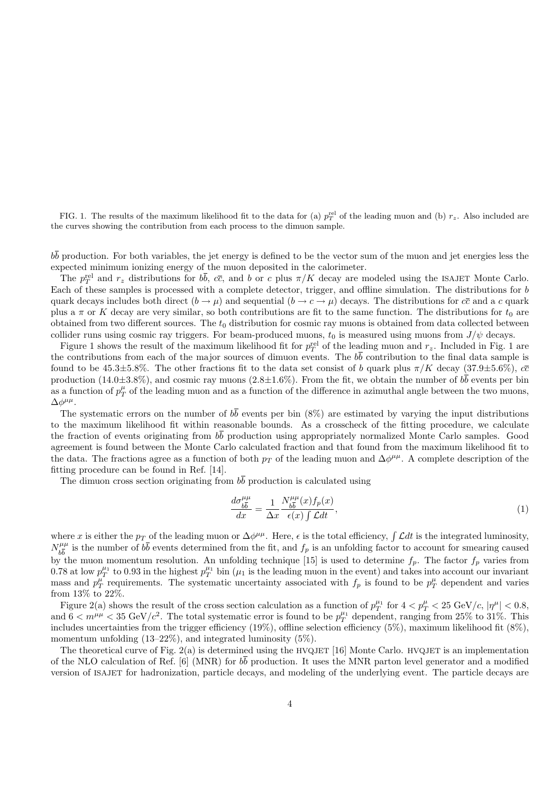FIG. 1. The results of the maximum likelihood fit to the data for (a)  $p_T^{\text{rel}}$  of the leading muon and (b)  $r_z$ . Also included are the curves showing the contribution from each process to the dimuon sample.

 $b\bar{b}$  production. For both variables, the jet energy is defined to be the vector sum of the muon and jet energies less the expected minimum ionizing energy of the muon deposited in the calorimeter.

The  $p_T^{\text{rel}}$  and  $r_z$  distributions for  $b\overline{b}$ ,  $c\overline{c}$ , and b or c plus  $\pi/K$  decay are modeled using the ISAJET Monte Carlo. Each of these samples is processed with a complete detector, trigger, and offline simulation. The distributions for b quark decays includes both direct  $(b \to \mu)$  and sequential  $(b \to c \to \mu)$  decays. The distributions for  $c\bar{c}$  and a c quark plus a  $\pi$  or K decay are very similar, so both contributions are fit to the same function. The distributions for  $t_0$  are obtained from two different sources. The  $t_0$  distribution for cosmic ray muons is obtained from data collected between collider runs using cosmic ray triggers. For beam-produced muons,  $t_0$  is measured using muons from  $J/\psi$  decays.

Figure 1 shows the result of the maximum likelihood fit for  $p_T^{\text{rel}}$  of the leading muon and  $r_z$ . Included in Fig. 1 are the contributions from each of the major sources of dimuon events. The  $b\bar{b}$  contribution to the final data sample is found to be 45.3 $\pm$ 5.8%. The other fractions fit to the data set consist of b quark plus  $\pi/K$  decay (37.9 $\pm$ 5.6%),  $c\bar{c}$ production (14.0 $\pm$ 3.8%), and cosmic ray muons (2.8 $\pm$ 1.6%). From the fit, we obtain the number of  $b\overline{b}$  events per bin as a function of  $p_T^{\mu}$  of the leading muon and as a function of the difference in azimuthal angle between the two muons,  $Δφ<sup>μμ</sup>$ .

The systematic errors on the number of  $b\overline{b}$  events per bin (8%) are estimated by varying the input distributions to the maximum likelihood fit within reasonable bounds. As a crosscheck of the fitting procedure, we calculate the fraction of events originating from  $b\bar{b}$  production using appropriately normalized Monte Carlo samples. Good agreement is found between the Monte Carlo calculated fraction and that found from the maximum likelihood fit to the data. The fractions agree as a function of both  $p_T$  of the leading muon and  $\Delta\phi^{\mu\mu}$ . A complete description of the fitting procedure can be found in Ref. [14].

The dimuon cross section originating from  $b\overline{b}$  production is calculated using

$$
\frac{d\sigma_{b\overline{b}}^{\mu\mu}}{dx} = \frac{1}{\Delta x} \frac{N_{b\overline{b}}^{\mu\mu}(x) f_p(x)}{\epsilon(x) \int \mathcal{L}dt},\tag{1}
$$

where x is either the  $p_T$  of the leading muon or  $\Delta\phi^{\mu\mu}$ . Here,  $\epsilon$  is the total efficiency,  $\int \mathcal{L}dt$  is the integrated luminosity,  $N_{b\bar{b}}^{\mu\mu}$  is the number of  $b\bar{b}$  events determined from the fit, and  $f_p$  is an unfolding factor to account for smearing caused by the muon momentum resolution. An unfolding technique [15] is used to determine  $f_p$ . The factor  $f_p$  varies from 0.78 at low  $p_T^{\mu_1}$  to 0.93 in the highest  $p_T^{\mu_1}$  bin ( $\mu_1$  is the leading muon in the event) and takes into account our invariant mass and  $p_T^{\mu}$  requirements. The systematic uncertainty associated with  $f_p$  is found to be  $p_T^{\mu}$  dependent and varies from 13% to 22%.

Figure 2(a) shows the result of the cross section calculation as a function of  $p_T^{\mu_1}$  for  $4 < p_T^{\mu} < 25 \text{ GeV}/c$ ,  $|\eta^{\mu}| < 0.8$ , and  $6 < m^{\mu\mu} < 35 \text{ GeV}/c^2$ . The total systematic error is found to be  $p_T^{\mu_1}$  dependent, ranging from 25% to 31%. This includes uncertainties from the trigger efficiency (19%), offline selection efficiency (5%), maximum likelihood fit (8%), momentum unfolding (13–22%), and integrated luminosity (5%).

The theoretical curve of Fig. 2(a) is determined using the HVQJET [16] Monte Carlo. HVQJET is an implementation of the NLO calculation of Ref. [6] (MNR) for bb production. It uses the MNR parton level generator and a modified version of ISAJET for hadronization, particle decays, and modeling of the underlying event. The particle decays are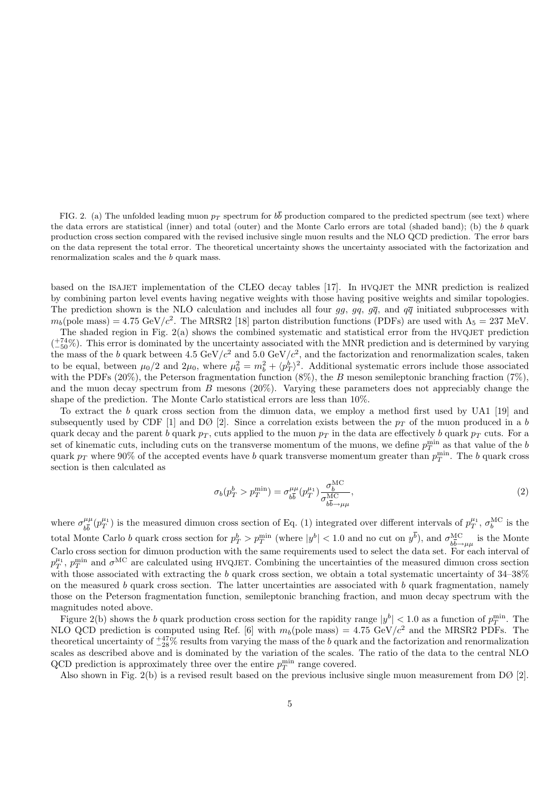FIG. 2. (a) The unfolded leading muon  $p_T$  spectrum for  $b\overline{b}$  production compared to the predicted spectrum (see text) where the data errors are statistical (inner) and total (outer) and the Monte Carlo errors are total (shaded band); (b) the  $b$  quark production cross section compared with the revised inclusive single muon results and the NLO QCD prediction. The error bars on the data represent the total error. The theoretical uncertainty shows the uncertainty associated with the factorization and renormalization scales and the b quark mass.

based on the ISAJET implementation of the CLEO decay tables [17]. In HVQJET the MNR prediction is realized by combining parton level events having negative weights with those having positive weights and similar topologies. The prediction shown is the NLO calculation and includes all four gg, gq,  $g\overline{q}$ , and  $q\overline{q}$  initiated subprocesses with  $m_b(\text{pole mass}) = 4.75 \text{ GeV}/c^2$ . The MRSR2 [18] parton distribution functions (PDFs) are used with  $\Lambda_5 = 237 \text{ MeV}$ .

The shaded region in Fig. 2(a) shows the combined systematic and statistical error from the HVQJET prediction  $\binom{+74}{-50}$ . This error is dominated by the uncertainty associated with the MNR prediction and is determined by varying the mass of the b quark between 4.5 GeV/ $c^2$  and 5.0 GeV/ $c^2$ , and the factorization and renormalization scales, taken to be equal, between  $\mu_0/2$  and  $2\mu_0$ , where  $\mu_0^2 = m_b^2 + \langle p_T^b \rangle^2$ . Additional systematic errors include those associated with the PDFs (20%), the Peterson fragmentation function  $(8\%)$ , the B meson semileptonic branching fraction  $(7\%)$ , and the muon decay spectrum from B mesons  $(20\%)$ . Varying these parameters does not appreciably change the shape of the prediction. The Monte Carlo statistical errors are less than 10%.

To extract the b quark cross section from the dimuon data, we employ a method first used by UA1 [19] and subsequently used by CDF [1] and DØ [2]. Since a correlation exists between the  $p_T$  of the muon produced in a b quark decay and the parent b quark  $p_T$ , cuts applied to the muon  $p_T$  in the data are effectively b quark  $p_T$  cuts. For a set of kinematic cuts, including cuts on the transverse momentum of the muons, we define  $p_T^{\min}$  as that value of the b quark  $p_T$  where 90% of the accepted events have b quark transverse momentum greater than  $p_T^{\min}$ . The b quark cross section is then calculated as

$$
\sigma_b(p_T^b > p_T^{\min}) = \sigma_{b\overline{b}}^{\mu\mu}(p_T^{\mu_1}) \frac{\sigma_b^{\text{MC}}}{\sigma_{b\overline{b}\to\mu\mu}^{\text{MC}}},\tag{2}
$$

where  $\sigma_{b\overline{b}}^{\mu\mu}(p_T^{\mu_1})$  is the measured dimuon cross section of Eq. (1) integrated over different intervals of  $p_T^{\mu_1}$ ,  $\sigma_b^{\text{MC}}$  is the total Monte Carlo b quark cross section for  $p_T^b > p_T^{\min}$  (where  $|y^b| < 1.0$  and no cut on  $y^b$ ), and  $\sigma_{b\overline{b}\rightarrow \mu\mu}^{\text{MC}}$  is the Monte Carlo cross section for dimuon production with the same requirements used to select the data set. For each interval of  $p_T^{\mu_1}, p_T^{\min}$  and  $\sigma^{\text{MC}}$  are calculated using HVQJET. Combining the uncertainties of the measured dimuon cross section with those associated with extracting the b quark cross section, we obtain a total systematic uncertainty of  $34-38\%$ on the measured b quark cross section. The latter uncertainties are associated with b quark fragmentation, namely those on the Peterson fragmentation function, semileptonic branching fraction, and muon decay spectrum with the magnitudes noted above.

Figure 2(b) shows the b quark production cross section for the rapidity range  $|y^b| < 1.0$  as a function of  $p_T^{\min}$ . The NLO QCD prediction is computed using Ref. [6] with  $m_b$ (pole mass) = 4.75 GeV/ $c^2$  and the MRSR2 PDFs. The theoretical uncertainty of  $\frac{+47}{-28}$ % results from varying the mass of the b quark and the factorization and renormalization scales as described above and is dominated by the variation of the scales. The ratio of the data to the central NLO QCD prediction is approximately three over the entire  $p_T^{\min}$  range covered.

Also shown in Fig. 2(b) is a revised result based on the previous inclusive single muon measurement from DØ [2].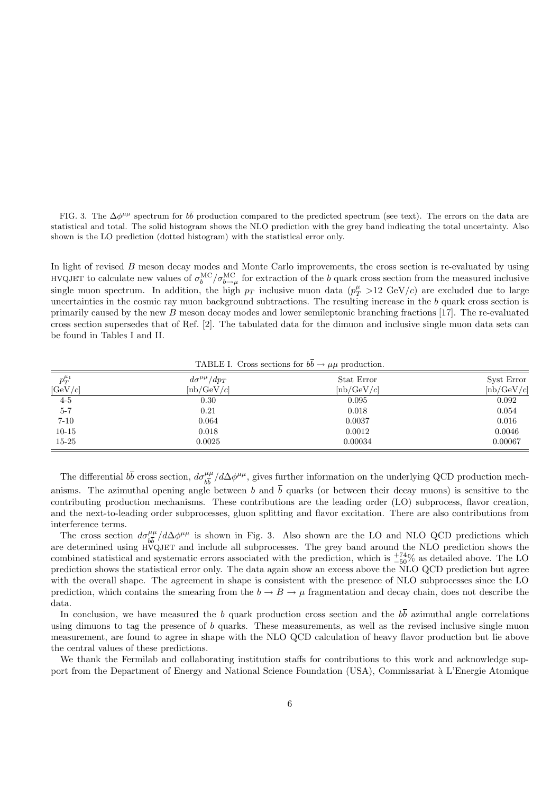FIG. 3. The  $\Delta\phi^{\mu\mu}$  spectrum for  $b\bar{b}$  production compared to the predicted spectrum (see text). The errors on the data are statistical and total. The solid histogram shows the NLO prediction with the grey band indicating the total uncertainty. Also shown is the LO prediction (dotted histogram) with the statistical error only.

In light of revised B meson decay modes and Monte Carlo improvements, the cross section is re-evaluated by using HVQJET to calculate new values of  $\sigma_b^{\text{MC}}/\sigma_{b\to\mu}^{\text{MC}}$  for extraction of the b quark cross section from the measured inclusive single muon spectrum. In addition, the high  $p_T$  inclusive muon data  $(p_T^{\mu} > 12 \text{ GeV}/c)$  are excluded due to large uncertainties in the cosmic ray muon background subtractions. The resulting increase in the  $b$  quark cross section is primarily caused by the new  $B$  meson decay modes and lower semileptonic branching fractions [17]. The re-evaluated cross section supersedes that of Ref. [2]. The tabulated data for the dimuon and inclusive single muon data sets can be found in Tables I and II.

| $p_T^{\mu_1}$ | $d\sigma^{\mu\mu}/dp_T$  | Stat Error                | Syst Error         |
|---------------|--------------------------|---------------------------|--------------------|
| [GeV/c]       | $[{\rm nb}/{\rm GeV}/c]$ | $[{\rm nb}/\text{GeV}/c]$ | $[{\rm nb/GeV}/c]$ |
| $4-5$         | 0.30                     | 0.095                     | 0.092              |
| $5 - 7$       | 0.21                     | 0.018                     | 0.054              |
| $7 - 10$      | 0.064                    | 0.0037                    | 0.016              |
| $10 - 15$     | 0.018                    | 0.0012                    | 0.0046             |
| $15 - 25$     | 0.0025                   | 0.00034                   | 0.00067            |

TABLE I. Cross sections for  $b\overline{b} \rightarrow \mu\mu$  production.

The differential  $b\bar{b}$  cross section,  $d\sigma_{b\bar{b}}^{\mu\mu}/d\Delta\phi^{\mu\mu}$ , gives further information on the underlying QCD production mechanisms. The azimuthal opening angle between b and  $\overline{b}$  quarks (or between their decay muons) is sensitive to the contributing production mechanisms. These contributions are the leading order (LO) subprocess, flavor creation, and the next-to-leading order subprocesses, gluon splitting and flavor excitation. There are also contributions from interference terms.

The cross section  $d\sigma_{b\overline{b}}^{\mu\mu}/d\Delta\phi^{\mu\mu}$  is shown in Fig. 3. Also shown are the LO and NLO QCD predictions which are determined using HVQJET and include all subprocesses. The grey band around the NLO prediction shows the combined statistical and systematic errors associated with the prediction, which is  $^{+74}_{-50}\%$  as detailed above. The LO prediction shows the statistical error only. The data again show an excess above the NLO QCD prediction but agree with the overall shape. The agreement in shape is consistent with the presence of NLO subprocesses since the LO prediction, which contains the smearing from the  $b \to B \to \mu$  fragmentation and decay chain, does not describe the data.

In conclusion, we have measured the b quark production cross section and the  $b\bar{b}$  azimuthal angle correlations using dimuons to tag the presence of b quarks. These measurements, as well as the revised inclusive single muon measurement, are found to agree in shape with the NLO QCD calculation of heavy flavor production but lie above the central values of these predictions.

We thank the Fermilab and collaborating institution staffs for contributions to this work and acknowledge support from the Department of Energy and National Science Foundation (USA), Commissariat à L'Energie Atomique